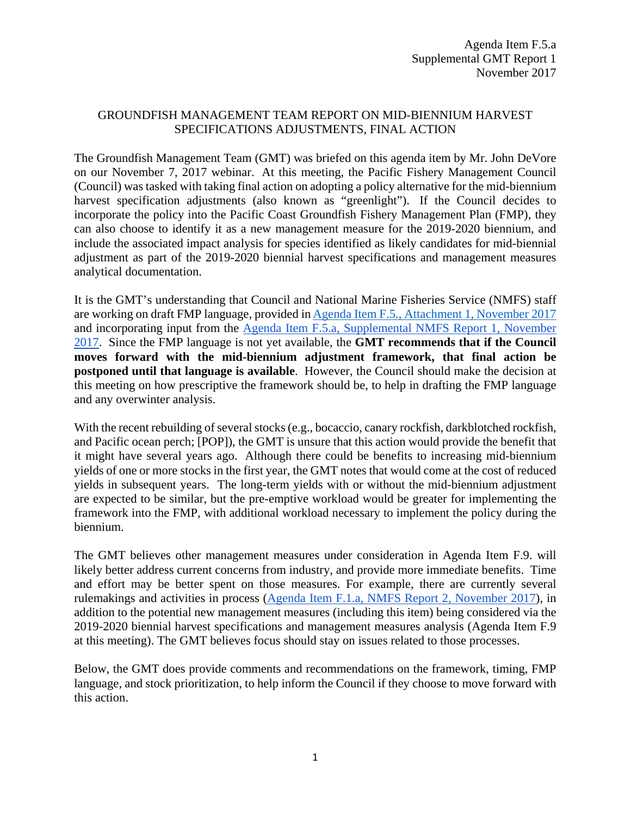#### GROUNDFISH MANAGEMENT TEAM REPORT ON MID-BIENNIUM HARVEST SPECIFICATIONS ADJUSTMENTS, FINAL ACTION

The Groundfish Management Team (GMT) was briefed on this agenda item by Mr. John DeVore on our November 7, 2017 webinar. At this meeting, the Pacific Fishery Management Council (Council) was tasked with taking final action on adopting a policy alternative for the mid-biennium harvest specification adjustments (also known as "greenlight"). If the Council decides to incorporate the policy into the Pacific Coast Groundfish Fishery Management Plan (FMP), they can also choose to identify it as a new management measure for the 2019-2020 biennium, and include the associated impact analysis for species identified as likely candidates for mid-biennial adjustment as part of the 2019-2020 biennial harvest specifications and management measures analytical documentation.

It is the GMT's understanding that Council and National Marine Fisheries Service (NMFS) staff are working on draft FMP language, provided in [Agenda Item F.5., Attachment 1, November 2017](http://www.pcouncil.org/wp-content/uploads/2017/10/F5_Att1_GreenLight_NOV2017BB.pdf) and incorporating input from the [Agenda Item F.5.a, Supplemental NMFS Report 1, November](https://www.pcouncil.org/wp-content/uploads/2017/11/F5a_Sup_NMFS_Rpt1_NOV2017BB.pdf)  [2017.](https://www.pcouncil.org/wp-content/uploads/2017/11/F5a_Sup_NMFS_Rpt1_NOV2017BB.pdf) Since the FMP language is not yet available, the **GMT recommends that if the Council moves forward with the mid-biennium adjustment framework, that final action be postponed until that language is available**. However, the Council should make the decision at this meeting on how prescriptive the framework should be, to help in drafting the FMP language and any overwinter analysis.

With the recent rebuilding of several stocks (e.g., bocaccio, canary rockfish, darkblotched rockfish, and Pacific ocean perch; [POP]), the GMT is unsure that this action would provide the benefit that it might have several years ago. Although there could be benefits to increasing mid-biennium yields of one or more stocks in the first year, the GMT notes that would come at the cost of reduced yields in subsequent years. The long-term yields with or without the mid-biennium adjustment are expected to be similar, but the pre-emptive workload would be greater for implementing the framework into the FMP, with additional workload necessary to implement the policy during the biennium.

The GMT believes other management measures under consideration in Agenda Item F.9. will likely better address current concerns from industry, and provide more immediate benefits. Time and effort may be better spent on those measures. For example, there are currently several rulemakings and activities in process [\(Agenda Item F.1.a, NMFS Report 2, November 2017\)](http://www.pcouncil.org/wp-content/uploads/2017/10/F1a_NMFS_Rpt2_RulemakingTimeline_NOV2017BB.pdf), in addition to the potential new management measures (including this item) being considered via the 2019-2020 biennial harvest specifications and management measures analysis (Agenda Item F.9 at this meeting). The GMT believes focus should stay on issues related to those processes.

Below, the GMT does provide comments and recommendations on the framework, timing, FMP language, and stock prioritization, to help inform the Council if they choose to move forward with this action.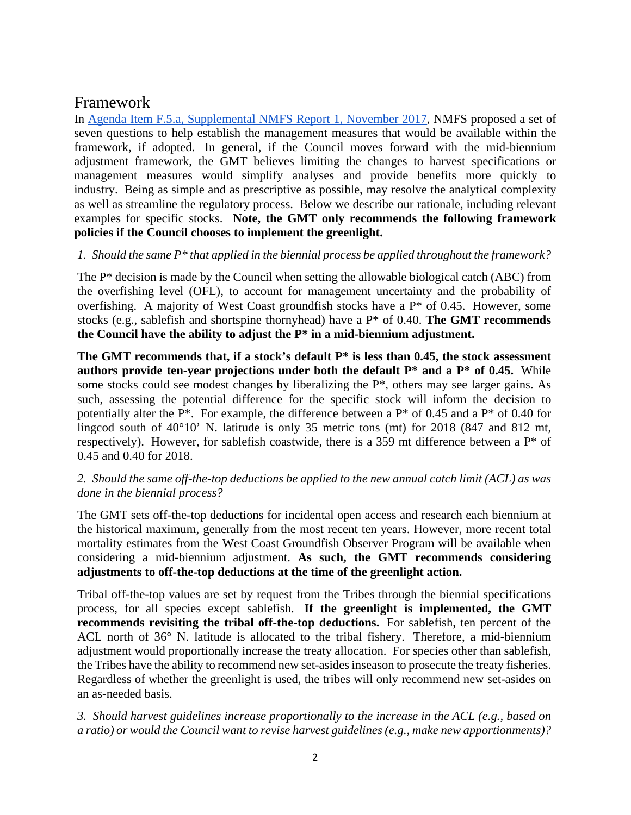# Framework

In [Agenda Item F.5.a, Supplemental NMFS Report 1, November 2017,](https://www.pcouncil.org/wp-content/uploads/2017/11/F5a_Sup_NMFS_Rpt1_NOV2017BB.pdf) NMFS proposed a set of seven questions to help establish the management measures that would be available within the framework, if adopted. In general, if the Council moves forward with the mid-biennium adjustment framework, the GMT believes limiting the changes to harvest specifications or management measures would simplify analyses and provide benefits more quickly to industry. Being as simple and as prescriptive as possible, may resolve the analytical complexity as well as streamline the regulatory process. Below we describe our rationale, including relevant examples for specific stocks. **Note, the GMT only recommends the following framework policies if the Council chooses to implement the greenlight.**

### *1. Should the same P\* that applied in the biennial process be applied throughout the framework?*

The P\* decision is made by the Council when setting the allowable biological catch (ABC) from the overfishing level (OFL), to account for management uncertainty and the probability of overfishing. A majority of West Coast groundfish stocks have a P\* of 0.45. However, some stocks (e.g., sablefish and shortspine thornyhead) have a P\* of 0.40. **The GMT recommends the Council have the ability to adjust the P\* in a mid-biennium adjustment.**

**The GMT recommends that, if a stock's default P\* is less than 0.45, the stock assessment authors provide ten-year projections under both the default P\* and a P\* of 0.45.** While some stocks could see modest changes by liberalizing the P\*, others may see larger gains. As such, assessing the potential difference for the specific stock will inform the decision to potentially alter the P<sup>\*</sup>. For example, the difference between a P<sup>\*</sup> of 0.45 and a P<sup>\*</sup> of 0.40 for lingcod south of 40°10' N. latitude is only 35 metric tons (mt) for 2018 (847 and 812 mt, respectively). However, for sablefish coastwide, there is a 359 mt difference between a P\* of 0.45 and 0.40 for 2018.

### *2. Should the same off-the-top deductions be applied to the new annual catch limit (ACL) as was done in the biennial process?*

The GMT sets off-the-top deductions for incidental open access and research each biennium at the historical maximum, generally from the most recent ten years. However, more recent total mortality estimates from the West Coast Groundfish Observer Program will be available when considering a mid-biennium adjustment. **As such, the GMT recommends considering adjustments to off-the-top deductions at the time of the greenlight action.** 

Tribal off-the-top values are set by request from the Tribes through the biennial specifications process, for all species except sablefish. **If the greenlight is implemented, the GMT recommends revisiting the tribal off-the-top deductions.** For sablefish, ten percent of the ACL north of 36° N. latitude is allocated to the tribal fishery. Therefore, a mid-biennium adjustment would proportionally increase the treaty allocation. For species other than sablefish, the Tribes have the ability to recommend new set-asides inseason to prosecute the treaty fisheries. Regardless of whether the greenlight is used, the tribes will only recommend new set-asides on an as-needed basis.

*3. Should harvest guidelines increase proportionally to the increase in the ACL (e.g., based on a ratio) or would the Council want to revise harvest guidelines (e.g., make new apportionments)?*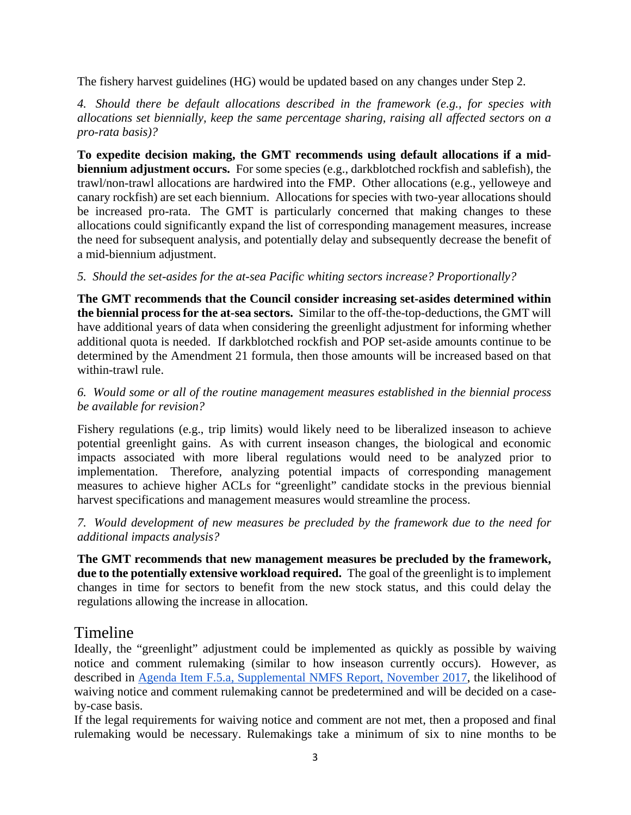The fishery harvest guidelines (HG) would be updated based on any changes under Step 2.

*4. Should there be default allocations described in the framework (e.g., for species with allocations set biennially, keep the same percentage sharing, raising all affected sectors on a pro-rata basis)?*

**To expedite decision making, the GMT recommends using default allocations if a midbiennium adjustment occurs.** For some species (e.g., darkblotched rockfish and sablefish), the trawl/non-trawl allocations are hardwired into the FMP. Other allocations (e.g., yelloweye and canary rockfish) are set each biennium. Allocations for species with two-year allocations should be increased pro-rata. The GMT is particularly concerned that making changes to these allocations could significantly expand the list of corresponding management measures, increase the need for subsequent analysis, and potentially delay and subsequently decrease the benefit of a mid-biennium adjustment.

## *5. Should the set-asides for the at-sea Pacific whiting sectors increase? Proportionally?*

**The GMT recommends that the Council consider increasing set-asides determined within the biennial process for the at-sea sectors.** Similar to the off-the-top-deductions, the GMT will have additional years of data when considering the greenlight adjustment for informing whether additional quota is needed. If darkblotched rockfish and POP set-aside amounts continue to be determined by the Amendment 21 formula, then those amounts will be increased based on that within-trawl rule.

### *6. Would some or all of the routine management measures established in the biennial process be available for revision?*

Fishery regulations (e.g., trip limits) would likely need to be liberalized inseason to achieve potential greenlight gains. As with current inseason changes, the biological and economic impacts associated with more liberal regulations would need to be analyzed prior to implementation. Therefore, analyzing potential impacts of corresponding management measures to achieve higher ACLs for "greenlight" candidate stocks in the previous biennial harvest specifications and management measures would streamline the process.

*7. Would development of new measures be precluded by the framework due to the need for additional impacts analysis?* 

**The GMT recommends that new management measures be precluded by the framework, due to the potentially extensive workload required.** The goal of the greenlight is to implement changes in time for sectors to benefit from the new stock status, and this could delay the regulations allowing the increase in allocation.

# Timeline

Ideally, the "greenlight" adjustment could be implemented as quickly as possible by waiving notice and comment rulemaking (similar to how inseason currently occurs). However, as described in [Agenda Item F.5.a, Supplemental NMFS Report, November 2017,](https://www.pcouncil.org/wp-content/uploads/2017/11/F5a_Sup_NMFS_Rpt1_NOV2017BB.pdf) the likelihood of waiving notice and comment rulemaking cannot be predetermined and will be decided on a caseby-case basis.

If the legal requirements for waiving notice and comment are not met, then a proposed and final rulemaking would be necessary. Rulemakings take a minimum of six to nine months to be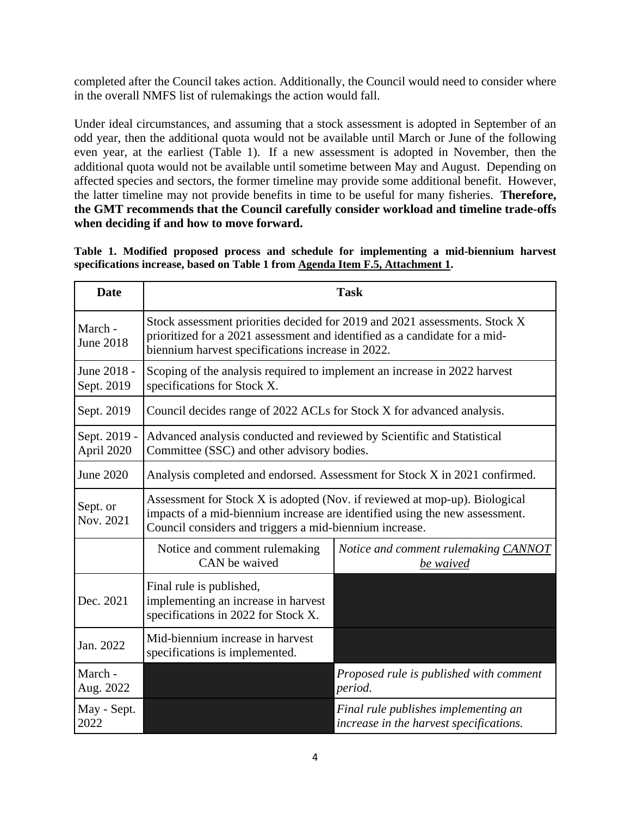completed after the Council takes action. Additionally, the Council would need to consider where in the overall NMFS list of rulemakings the action would fall.

Under ideal circumstances, and assuming that a stock assessment is adopted in September of an odd year, then the additional quota would not be available until March or June of the following even year, at the earliest (Table 1). If a new assessment is adopted in November, then the additional quota would not be available until sometime between May and August. Depending on affected species and sectors, the former timeline may provide some additional benefit. However, the latter timeline may not provide benefits in time to be useful for many fisheries. **Therefore, the GMT recommends that the Council carefully consider workload and timeline trade-offs when deciding if and how to move forward.**

|                                                                               |  |  |  |  |  |  |  |  |  | Table 1. Modified proposed process and schedule for implementing a mid-biennium harvest |  |
|-------------------------------------------------------------------------------|--|--|--|--|--|--|--|--|--|-----------------------------------------------------------------------------------------|--|
| specifications increase, based on Table 1 from Agenda Item F.5, Attachment 1. |  |  |  |  |  |  |  |  |  |                                                                                         |  |

| <b>Date</b>                 | <b>Task</b>                                                                                                                                                                                                          |                                                                                 |  |  |  |  |  |  |
|-----------------------------|----------------------------------------------------------------------------------------------------------------------------------------------------------------------------------------------------------------------|---------------------------------------------------------------------------------|--|--|--|--|--|--|
| March -<br><b>June 2018</b> | Stock assessment priorities decided for 2019 and 2021 assessments. Stock X<br>prioritized for a 2021 assessment and identified as a candidate for a mid-<br>biennium harvest specifications increase in 2022.        |                                                                                 |  |  |  |  |  |  |
| June 2018 -<br>Sept. 2019   | Scoping of the analysis required to implement an increase in 2022 harvest<br>specifications for Stock X.                                                                                                             |                                                                                 |  |  |  |  |  |  |
| Sept. 2019                  | Council decides range of 2022 ACLs for Stock X for advanced analysis.                                                                                                                                                |                                                                                 |  |  |  |  |  |  |
| Sept. 2019 -<br>April 2020  | Advanced analysis conducted and reviewed by Scientific and Statistical<br>Committee (SSC) and other advisory bodies.                                                                                                 |                                                                                 |  |  |  |  |  |  |
| June 2020                   | Analysis completed and endorsed. Assessment for Stock X in 2021 confirmed.                                                                                                                                           |                                                                                 |  |  |  |  |  |  |
| Sept. or<br>Nov. 2021       | Assessment for Stock X is adopted (Nov. if reviewed at mop-up). Biological<br>impacts of a mid-biennium increase are identified using the new assessment.<br>Council considers and triggers a mid-biennium increase. |                                                                                 |  |  |  |  |  |  |
|                             | Notice and comment rulemaking<br>CAN be waived                                                                                                                                                                       | Notice and comment rulemaking CANNOT<br>be waived                               |  |  |  |  |  |  |
| Dec. 2021                   | Final rule is published,<br>implementing an increase in harvest<br>specifications in 2022 for Stock X.                                                                                                               |                                                                                 |  |  |  |  |  |  |
| Jan. 2022                   | Mid-biennium increase in harvest<br>specifications is implemented.                                                                                                                                                   |                                                                                 |  |  |  |  |  |  |
| March -<br>Aug. 2022        |                                                                                                                                                                                                                      | Proposed rule is published with comment<br>period.                              |  |  |  |  |  |  |
| May - Sept.<br>2022         |                                                                                                                                                                                                                      | Final rule publishes implementing an<br>increase in the harvest specifications. |  |  |  |  |  |  |